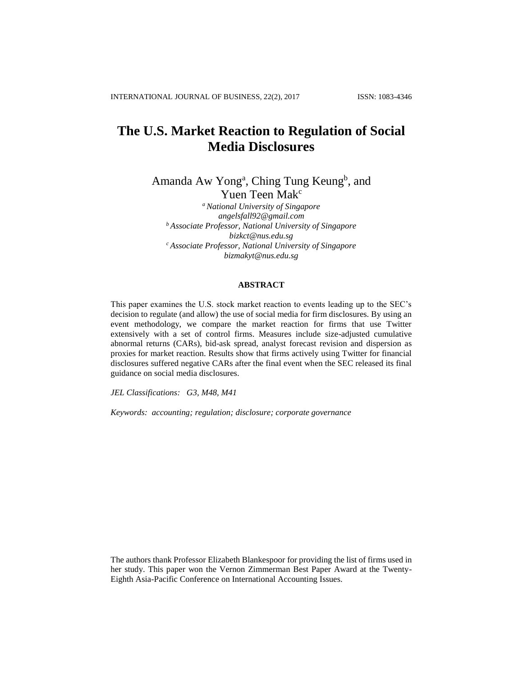# **The U.S. Market Reaction to Regulation of Social Media Disclosures**

Amanda Aw Yong<sup>a</sup>, Ching Tung Keung<sup>b</sup>, and Yuen Teen Mak<sup>c</sup>

*<sup>a</sup> National University of Singapore angelsfall92@gmail.com <sup>b</sup> Associate Professor, National University of Singapore bizkct@nus.edu.sg <sup>c</sup> Associate Professor, National University of Singapore bizmakyt@nus.edu.sg*

# **ABSTRACT**

This paper examines the U.S. stock market reaction to events leading up to the SEC's decision to regulate (and allow) the use of social media for firm disclosures. By using an event methodology, we compare the market reaction for firms that use Twitter extensively with a set of control firms. Measures include size-adjusted cumulative abnormal returns (CARs), bid-ask spread, analyst forecast revision and dispersion as proxies for market reaction. Results show that firms actively using Twitter for financial disclosures suffered negative CARs after the final event when the SEC released its final guidance on social media disclosures.

*JEL Classifications: G3, M48, M41*

*Keywords: accounting; regulation; disclosure; corporate governance*

The authors thank Professor Elizabeth Blankespoor for providing the list of firms used in her study. This paper won the Vernon Zimmerman Best Paper Award at the Twenty-Eighth Asia-Pacific Conference on International Accounting Issues.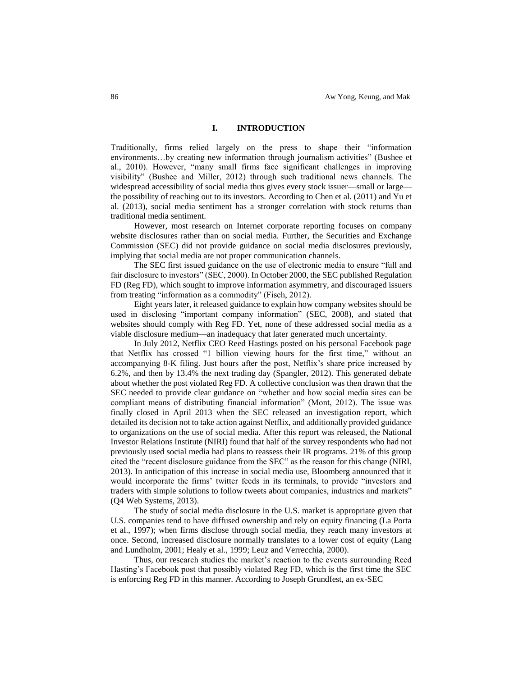# **I. INTRODUCTION**

Traditionally, firms relied largely on the press to shape their "information environments…by creating new information through journalism activities" (Bushee et al., 2010). However, "many small firms face significant challenges in improving visibility" (Bushee and Miller, 2012) through such traditional news channels. The widespread accessibility of social media thus gives every stock issuer—small or large the possibility of reaching out to its investors. According to Chen et al. (2011) and Yu et al. (2013), social media sentiment has a stronger correlation with stock returns than traditional media sentiment.

However, most research on Internet corporate reporting focuses on company website disclosures rather than on social media. Further, the Securities and Exchange Commission (SEC) did not provide guidance on social media disclosures previously, implying that social media are not proper communication channels.

The SEC first issued guidance on the use of electronic media to ensure "full and fair disclosure to investors" (SEC, 2000). In October 2000, the SEC published Regulation FD (Reg FD), which sought to improve information asymmetry, and discouraged issuers from treating "information as a commodity" (Fisch, 2012).

Eight years later, it released guidance to explain how company websites should be used in disclosing "important company information" (SEC, 2008), and stated that websites should comply with Reg FD. Yet, none of these addressed social media as a viable disclosure medium—an inadequacy that later generated much uncertainty.

In July 2012, Netflix CEO Reed Hastings posted on his personal Facebook page that Netflix has crossed "1 billion viewing hours for the first time," without an accompanying 8-K filing. Just hours after the post, Netflix's share price increased by 6.2%, and then by 13.4% the next trading day (Spangler, 2012). This generated debate about whether the post violated Reg FD. A collective conclusion was then drawn that the SEC needed to provide clear guidance on "whether and how social media sites can be compliant means of distributing financial information" (Mont, 2012). The issue was finally closed in April 2013 when the SEC released an investigation report, which detailed its decision not to take action against Netflix, and additionally provided guidance to organizations on the use of social media. After this report was released, the National Investor Relations Institute (NIRI) found that half of the survey respondents who had not previously used social media had plans to reassess their IR programs. 21% of this group cited the "recent disclosure guidance from the SEC" as the reason for this change (NIRI, 2013). In anticipation of this increase in social media use, Bloomberg announced that it would incorporate the firms' twitter feeds in its terminals, to provide "investors and traders with simple solutions to follow tweets about companies, industries and markets" (Q4 Web Systems, 2013).

The study of social media disclosure in the U.S. market is appropriate given that U.S. companies tend to have diffused ownership and rely on equity financing (La Porta et al., 1997); when firms disclose through social media, they reach many investors at once. Second, increased disclosure normally translates to a lower cost of equity (Lang and Lundholm, 2001; Healy et al., 1999; Leuz and Verrecchia, 2000).

Thus, our research studies the market's reaction to the events surrounding Reed Hasting's Facebook post that possibly violated Reg FD, which is the first time the SEC is enforcing Reg FD in this manner. According to Joseph Grundfest, an ex-SEC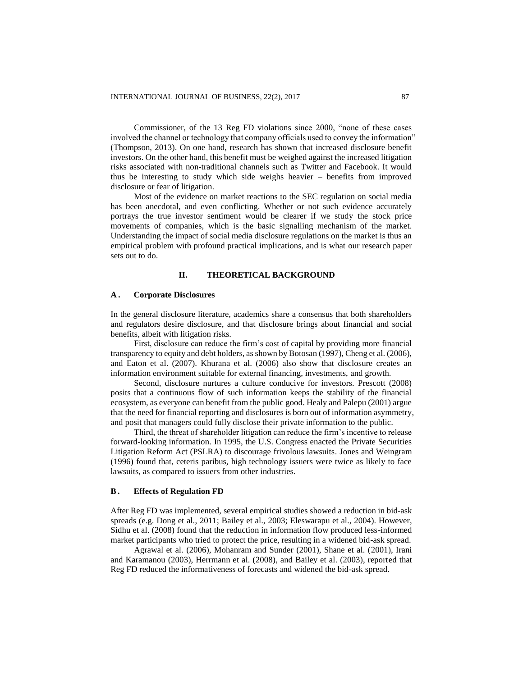Commissioner, of the 13 Reg FD violations since 2000, "none of these cases involved the channel or technology that company officials used to convey the information" (Thompson, 2013). On one hand, research has shown that increased disclosure benefit investors. On the other hand, this benefit must be weighed against the increased litigation risks associated with non-traditional channels such as Twitter and Facebook. It would thus be interesting to study which side weighs heavier – benefits from improved disclosure or fear of litigation.

Most of the evidence on market reactions to the SEC regulation on social media has been anecdotal, and even conflicting. Whether or not such evidence accurately portrays the true investor sentiment would be clearer if we study the stock price movements of companies, which is the basic signalling mechanism of the market. Understanding the impact of social media disclosure regulations on the market is thus an empirical problem with profound practical implications, and is what our research paper sets out to do.

# **II. THEORETICAL BACKGROUND**

## **A . Corporate Disclosures**

In the general disclosure literature, academics share a consensus that both shareholders and regulators desire disclosure, and that disclosure brings about financial and social benefits, albeit with litigation risks.

First, disclosure can reduce the firm's cost of capital by providing more financial transparency to equity and debt holders, as shown by Botosan (1997), Cheng et al. (2006), and Eaton et al. (2007). Khurana et al. (2006) also show that disclosure creates an information environment suitable for external financing, investments, and growth.

Second, disclosure nurtures a culture conducive for investors. Prescott (2008) posits that a continuous flow of such information keeps the stability of the financial ecosystem, as everyone can benefit from the public good. Healy and Palepu (2001) argue that the need for financial reporting and disclosures is born out of information asymmetry, and posit that managers could fully disclose their private information to the public.

Third, the threat of shareholder litigation can reduce the firm's incentive to release forward-looking information. In 1995, the U.S. Congress enacted the Private Securities Litigation Reform Act (PSLRA) to discourage frivolous lawsuits. Jones and Weingram (1996) found that, ceteris paribus, high technology issuers were twice as likely to face lawsuits, as compared to issuers from other industries.

#### **B. Effects of Regulation FD**

After Reg FD was implemented, several empirical studies showed a reduction in bid-ask spreads (e.g. Dong et al., 2011; Bailey et al., 2003; Eleswarapu et al., 2004). However, Sidhu et al. (2008) found that the reduction in information flow produced less-informed market participants who tried to protect the price, resulting in a widened bid-ask spread.

Agrawal et al. (2006), Mohanram and Sunder (2001), Shane et al. (2001), Irani and Karamanou (2003), Herrmann et al. (2008), and Bailey et al. (2003), reported that Reg FD reduced the informativeness of forecasts and widened the bid-ask spread.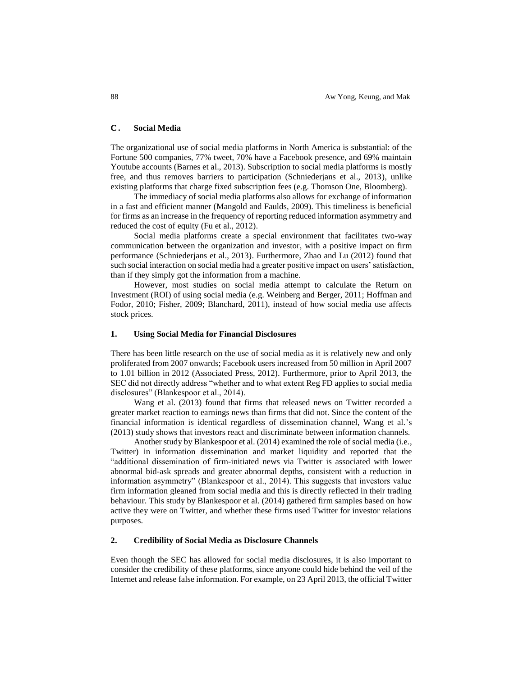# **C . Social Media**

The organizational use of social media platforms in North America is substantial: of the Fortune 500 companies, 77% tweet, 70% have a Facebook presence, and 69% maintain Youtube accounts (Barnes et al., 2013). Subscription to social media platforms is mostly free, and thus removes barriers to participation (Schniederjans et al., 2013), unlike existing platforms that charge fixed subscription fees (e.g. Thomson One, Bloomberg).

The immediacy of social media platforms also allows for exchange of information in a fast and efficient manner (Mangold and Faulds, 2009). This timeliness is beneficial for firms as an increase in the frequency of reporting reduced information asymmetry and reduced the cost of equity (Fu et al., 2012).

Social media platforms create a special environment that facilitates two-way communication between the organization and investor, with a positive impact on firm performance (Schniederjans et al., 2013). Furthermore, Zhao and Lu (2012) found that such social interaction on social media had a greater positive impact on users' satisfaction, than if they simply got the information from a machine.

However, most studies on social media attempt to calculate the Return on Investment (ROI) of using social media (e.g. Weinberg and Berger, 2011; Hoffman and Fodor, 2010; Fisher, 2009; Blanchard, 2011), instead of how social media use affects stock prices.

# **1. Using Social Media for Financial Disclosures**

There has been little research on the use of social media as it is relatively new and only proliferated from 2007 onwards; Facebook users increased from 50 million in April 2007 to 1.01 billion in 2012 (Associated Press, 2012). Furthermore, prior to April 2013, the SEC did not directly address "whether and to what extent Reg FD applies to social media disclosures" (Blankespoor et al., 2014).

Wang et al. (2013) found that firms that released news on Twitter recorded a greater market reaction to earnings news than firms that did not. Since the content of the financial information is identical regardless of dissemination channel, Wang et al.'s (2013) study shows that investors react and discriminate between information channels.

Another study by Blankespoor et al. (2014) examined the role of social media (i.e., Twitter) in information dissemination and market liquidity and reported that the "additional dissemination of firm-initiated news via Twitter is associated with lower abnormal bid-ask spreads and greater abnormal depths, consistent with a reduction in information asymmetry" (Blankespoor et al., 2014). This suggests that investors value firm information gleaned from social media and this is directly reflected in their trading behaviour. This study by Blankespoor et al. (2014) gathered firm samples based on how active they were on Twitter, and whether these firms used Twitter for investor relations purposes.

## **2. Credibility of Social Media as Disclosure Channels**

Even though the SEC has allowed for social media disclosures, it is also important to consider the credibility of these platforms, since anyone could hide behind the veil of the Internet and release false information. For example, on 23 April 2013, the official Twitter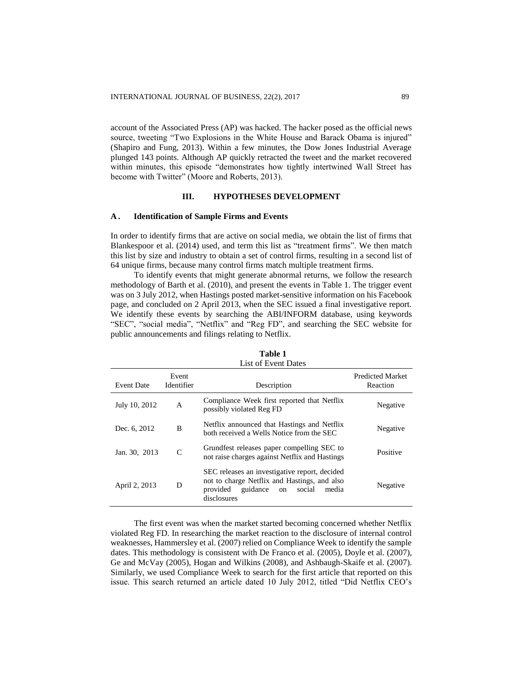account of the Associated Press (AP) was hacked. The hacker posed as the official news source, tweeting "Two Explosions in the White House and Barack Obama is injured" (Shapiro and Fung, 2013). Within a few minutes, the Dow Jones Industrial Average plunged 143 points. Although AP quickly retracted the tweet and the market recovered within minutes, this episode "demonstrates how tightly intertwined Wall Street has become with Twitter" (Moore and Roberts, 2013).

# **III. HYPOTHESES DEVELOPMENT**

#### **A . Identification of Sample Firms and Events**

In order to identify firms that are active on social media, we obtain the list of firms that Blankespoor et al. (2014) used, and term this list as "treatment firms". We then match this list by size and industry to obtain a set of control firms, resulting in a second list of 64 unique firms, because many control firms match multiple treatment firms.

To identify events that might generate abnormal returns, we follow the research methodology of Barth et al. (2010), and present the events in Table 1. The trigger event was on 3 July 2012, when Hastings posted market-sensitive information on his Facebook page, and concluded on 2 April 2013, when the SEC issued a final investigative report. We identify these events by searching the ABI/INFORM database, using keywords "SEC", "social media", "Netflix" and "Reg FD", and searching the SEC website for public announcements and filings relating to Netflix.

|                   |                     | List of Event Dates                                                                                                                                           |                                     |
|-------------------|---------------------|---------------------------------------------------------------------------------------------------------------------------------------------------------------|-------------------------------------|
| <b>Event Date</b> | Event<br>Identifier | Description                                                                                                                                                   | <b>Predicted Market</b><br>Reaction |
| July 10, 2012     | A                   | Compliance Week first reported that Netflix<br>possibly violated Reg FD                                                                                       | Negative                            |
| Dec. 6, 2012      | B                   | Netflix announced that Hastings and Netflix<br>both received a Wells Notice from the SEC                                                                      | Negative                            |
| Jan. 30, 2013     | $\mathsf{C}$        | Grundfest releases paper compelling SEC to<br>not raise charges against Netflix and Hastings                                                                  | Positive                            |
| April 2, 2013     | D                   | SEC releases an investigative report, decided<br>not to charge Netflix and Hastings, and also<br>provided<br>guidance<br>social<br>media<br>on<br>disclosures | Negative                            |

**Table 1**

The first event was when the market started becoming concerned whether Netflix violated Reg FD. In researching the market reaction to the disclosure of internal control weaknesses, Hammersley et al. (2007) relied on Compliance Week to identify the sample dates. This methodology is consistent with De Franco et al. (2005), Doyle et al. (2007), Ge and McVay (2005), Hogan and Wilkins (2008), and Ashbaugh-Skaife et al. (2007). Similarly, we used Compliance Week to search for the first article that reported on this issue. This search returned an article dated 10 July 2012, titled "Did Netflix CEO's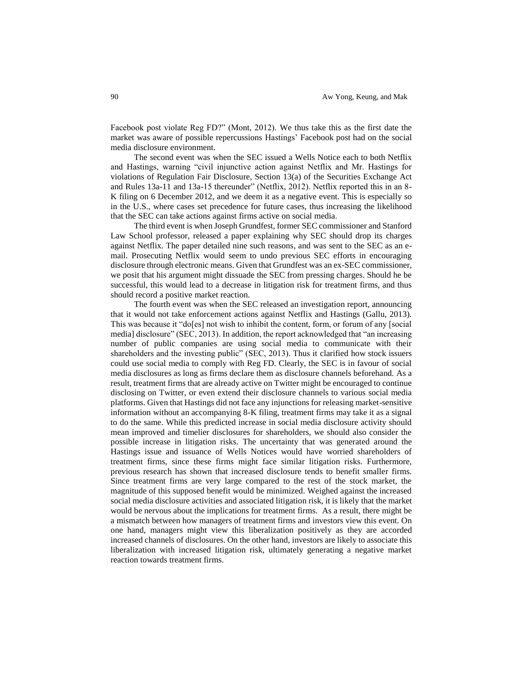Facebook post violate Reg FD?" (Mont, 2012). We thus take this as the first date the market was aware of possible repercussions Hastings' Facebook post had on the social media disclosure environment.

The second event was when the SEC issued a Wells Notice each to both Netflix and Hastings, warning "civil injunctive action against Netflix and Mr. Hastings for violations of Regulation Fair Disclosure, Section 13(a) of the Securities Exchange Act and Rules 13a-11 and 13a-15 thereunder" (Netflix, 2012). Netflix reported this in an 8- K filing on 6 December 2012, and we deem it as a negative event. This is especially so in the U.S., where cases set precedence for future cases, thus increasing the likelihood that the SEC can take actions against firms active on social media.

The third event is when Joseph Grundfest, former SEC commissioner and Stanford Law School professor, released a paper explaining why SEC should drop its charges against Netflix. The paper detailed nine such reasons, and was sent to the SEC as an email. Prosecuting Netflix would seem to undo previous SEC efforts in encouraging disclosure through electronic means. Given that Grundfest was an ex-SEC commissioner, we posit that his argument might dissuade the SEC from pressing charges. Should he be successful, this would lead to a decrease in litigation risk for treatment firms, and thus should record a positive market reaction.

The fourth event was when the SEC released an investigation report, announcing that it would not take enforcement actions against Netflix and Hastings (Gallu, 2013). This was because it "do[es] not wish to inhibit the content, form, or forum of any [social media] disclosure" (SEC, 2013). In addition, the report acknowledged that "an increasing number of public companies are using social media to communicate with their shareholders and the investing public" (SEC, 2013). Thus it clarified how stock issuers could use social media to comply with Reg FD. Clearly, the SEC is in favour of social media disclosures as long as firms declare them as disclosure channels beforehand. As a result, treatment firms that are already active on Twitter might be encouraged to continue disclosing on Twitter, or even extend their disclosure channels to various social media platforms. Given that Hastings did not face any injunctions for releasing market-sensitive information without an accompanying 8-K filing, treatment firms may take it as a signal to do the same. While this predicted increase in social media disclosure activity should mean improved and timelier disclosures for shareholders, we should also consider the possible increase in litigation risks. The uncertainty that was generated around the Hastings issue and issuance of Wells Notices would have worried shareholders of treatment firms, since these firms might face similar litigation risks. Furthermore, previous research has shown that increased disclosure tends to benefit smaller firms. Since treatment firms are very large compared to the rest of the stock market, the magnitude of this supposed benefit would be minimized. Weighed against the increased social media disclosure activities and associated litigation risk, it is likely that the market would be nervous about the implications for treatment firms. As a result, there might be a mismatch between how managers of treatment firms and investors view this event. On one hand, managers might view this liberalization positively as they are accorded increased channels of disclosures. On the other hand, investors are likely to associate this liberalization with increased litigation risk, ultimately generating a negative market reaction towards treatment firms.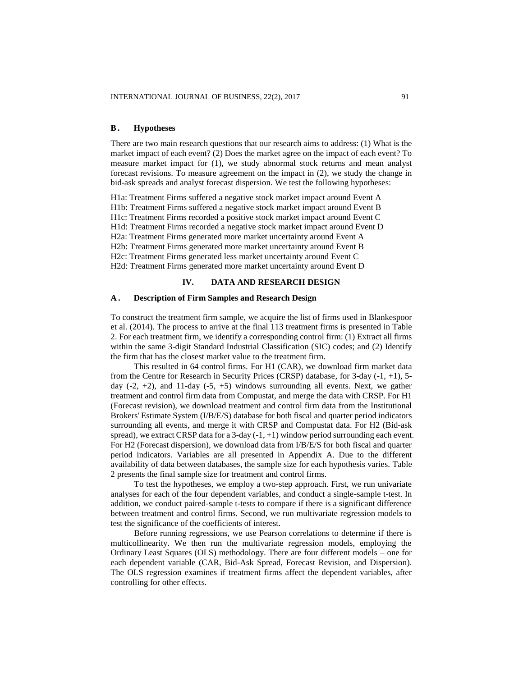# **B. Hypotheses**

There are two main research questions that our research aims to address: (1) What is the market impact of each event? (2) Does the market agree on the impact of each event? To measure market impact for (1), we study abnormal stock returns and mean analyst forecast revisions. To measure agreement on the impact in (2), we study the change in bid-ask spreads and analyst forecast dispersion. We test the following hypotheses:

H1a: Treatment Firms suffered a negative stock market impact around Event A H1b: Treatment Firms suffered a negative stock market impact around Event B H1c: Treatment Firms recorded a positive stock market impact around Event C H1d: Treatment Firms recorded a negative stock market impact around Event D H2a: Treatment Firms generated more market uncertainty around Event A H2b: Treatment Firms generated more market uncertainty around Event B H2c: Treatment Firms generated less market uncertainty around Event C H2d: Treatment Firms generated more market uncertainty around Event D

# **IV. DATA AND RESEARCH DESIGN**

# **A . Description of Firm Samples and Research Design**

To construct the treatment firm sample, we acquire the list of firms used in Blankespoor et al. (2014). The process to arrive at the final 113 treatment firms is presented in Table 2. For each treatment firm, we identify a corresponding control firm: (1) Extract all firms within the same 3-digit Standard Industrial Classification (SIC) codes; and (2) Identify the firm that has the closest market value to the treatment firm.

This resulted in 64 control firms. For H1 (CAR), we download firm market data from the Centre for Research in Security Prices (CRSP) database, for 3-day (-1, +1), 5 day  $(-2, +2)$ , and 11-day  $(-5, +5)$  windows surrounding all events. Next, we gather treatment and control firm data from Compustat, and merge the data with CRSP. For H1 (Forecast revision), we download treatment and control firm data from the Institutional Brokers' Estimate System (I/B/E/S) database for both fiscal and quarter period indicators surrounding all events, and merge it with CRSP and Compustat data. For H2 (Bid-ask spread), we extract CRSP data for a  $3$ -day  $(-1, +1)$  window period surrounding each event. For H2 (Forecast dispersion), we download data from I/B/E/S for both fiscal and quarter period indicators. Variables are all presented in Appendix A. Due to the different availability of data between databases, the sample size for each hypothesis varies. Table 2 presents the final sample size for treatment and control firms.

To test the hypotheses, we employ a two-step approach. First, we run univariate analyses for each of the four dependent variables, and conduct a single-sample t-test. In addition, we conduct paired-sample t-tests to compare if there is a significant difference between treatment and control firms. Second, we run multivariate regression models to test the significance of the coefficients of interest.

Before running regressions, we use Pearson correlations to determine if there is multicollinearity. We then run the multivariate regression models, employing the Ordinary Least Squares (OLS) methodology. There are four different models – one for each dependent variable (CAR, Bid-Ask Spread, Forecast Revision, and Dispersion). The OLS regression examines if treatment firms affect the dependent variables, after controlling for other effects.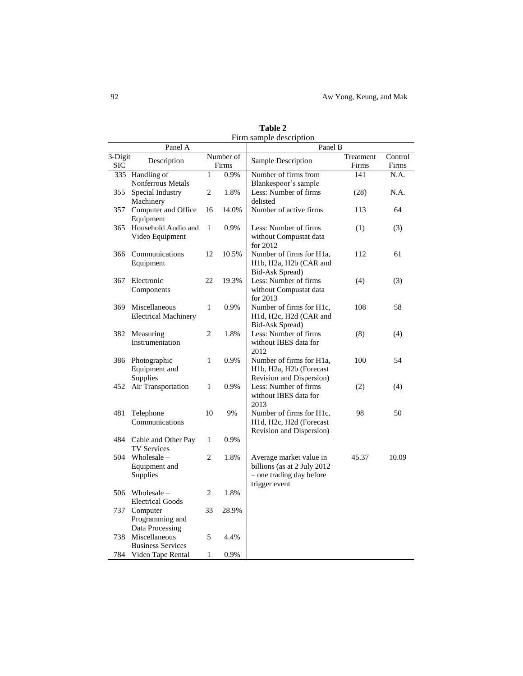92 Aw Yong, Keung, and Mak

|                       | Panel A                                   |              |                    | Panel B                                             |                    |                  |
|-----------------------|-------------------------------------------|--------------|--------------------|-----------------------------------------------------|--------------------|------------------|
| 3-Digit<br><b>SIC</b> | Description                               |              | Number of<br>Firms | Sample Description                                  | Treatment<br>Firms | Control<br>Firms |
| 335                   | Handling of                               | 1            | 0.9%               | Number of firms from                                | 141                | N.A.             |
|                       | Nonferrous Metals                         |              |                    | Blankespoor's sample                                |                    |                  |
| 355                   | Special Industry                          | 2            | 1.8%               | Less: Number of firms                               | (28)               | N.A.             |
|                       | Machinery                                 |              |                    | delisted                                            |                    |                  |
| 357                   | Computer and Office<br>Equipment          | 16           | 14.0%              | Number of active firms                              | 113                | 64               |
| 365                   | Household Audio and                       | $\mathbf{1}$ | 0.9%               | Less: Number of firms                               | (1)                | (3)              |
|                       | Video Equipment                           |              |                    | without Compustat data                              |                    |                  |
|                       |                                           |              |                    | for 2012                                            |                    |                  |
| 366                   | Communications                            | 12           | 10.5%              | Number of firms for H1a,                            | 112                | 61               |
|                       | Equipment                                 |              |                    | H1b, H2a, H2b (CAR and                              |                    |                  |
|                       |                                           |              |                    | Bid-Ask Spread)                                     |                    |                  |
| 367                   | Electronic                                | 22           | 19.3%              | Less: Number of firms                               | (4)                | (3)              |
|                       | Components                                |              |                    | without Compustat data<br>for $2013$                |                    |                  |
| 369                   | Miscellaneous                             | 1            | 0.9%               | Number of firms for H1c,                            | 108                | 58               |
|                       | <b>Electrical Machinery</b>               |              |                    | H1d, H2c, H2d (CAR and                              |                    |                  |
|                       |                                           |              |                    | Bid-Ask Spread)                                     |                    |                  |
|                       | 382 Measuring                             | 2            | 1.8%               | Less: Number of firms                               | (8)                | (4)              |
|                       | Instrumentation                           |              |                    | without IBES data for                               |                    |                  |
|                       |                                           |              |                    | 2012                                                |                    |                  |
| 386                   | Photographic                              | 1            | 0.9%               | Number of firms for H1a,<br>H1b, H2a, H2b (Forecast | 100                | 54               |
|                       | Equipment and<br>Supplies                 |              |                    | Revision and Dispersion)                            |                    |                  |
| 452                   | Air Transportation                        | $\mathbf{1}$ | 0.9%               | Less: Number of firms                               | (2)                | (4)              |
|                       |                                           |              |                    | without IBES data for                               |                    |                  |
|                       |                                           |              |                    | 2013                                                |                    |                  |
| 481                   | Telephone                                 | 10           | 9%                 | Number of firms for H1c,                            | 98                 | 50               |
|                       | Communications                            |              |                    | H1d, H2c, H2d (Forecast                             |                    |                  |
| 484                   |                                           | $\mathbf{1}$ | 0.9%               | Revision and Dispersion)                            |                    |                  |
|                       | Cable and Other Pay<br><b>TV Services</b> |              |                    |                                                     |                    |                  |
| 504                   | Wholesale $-$                             | 2            | 1.8%               | Average market value in                             | 45.37              | 10.09            |
|                       | Equipment and                             |              |                    | billions (as at 2 July 2012                         |                    |                  |
|                       | Supplies                                  |              |                    | - one trading day before                            |                    |                  |
|                       |                                           |              |                    | trigger event                                       |                    |                  |
| 506                   | Wholesale $-$                             | 2            | 1.8%               |                                                     |                    |                  |
|                       | <b>Electrical Goods</b>                   |              |                    |                                                     |                    |                  |
| 737                   | Computer<br>Programming and               | 33           | 28.9%              |                                                     |                    |                  |
|                       | Data Processing                           |              |                    |                                                     |                    |                  |
| 738                   | Miscellaneous                             | 5            | 4.4%               |                                                     |                    |                  |
|                       | <b>Business Services</b>                  |              |                    |                                                     |                    |                  |
| 784                   | Video Tape Rental                         | 1            | 0.9%               |                                                     |                    |                  |

**Table 2** Firm sample description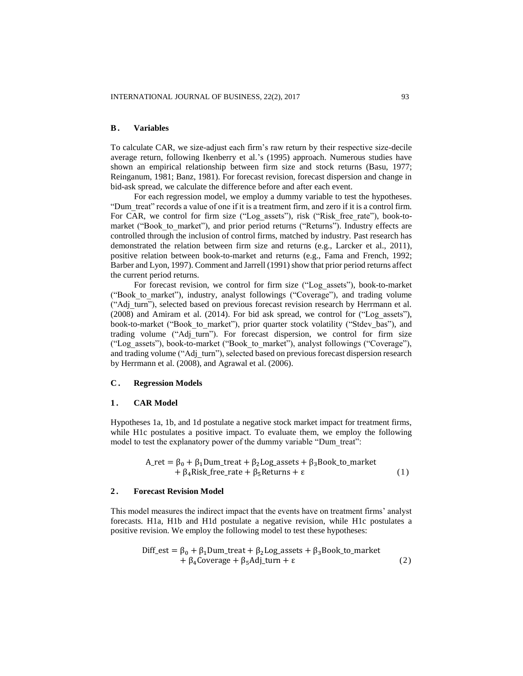# **B. Variables**

To calculate CAR, we size-adjust each firm's raw return by their respective size-decile average return, following Ikenberry et al.'s (1995) approach. Numerous studies have shown an empirical relationship between firm size and stock returns (Basu, 1977; Reinganum, 1981; Banz, 1981). For forecast revision, forecast dispersion and change in bid-ask spread, we calculate the difference before and after each event.

For each regression model, we employ a dummy variable to test the hypotheses. "Dum\_treat" records a value of one if it is a treatment firm, and zero if it is a control firm. For CAR, we control for firm size ("Log assets"), risk ("Risk free rate"), book-tomarket ("Book to market"), and prior period returns ("Returns"). Industry effects are controlled through the inclusion of control firms, matched by industry. Past research has demonstrated the relation between firm size and returns (e.g., Larcker et al., 2011), positive relation between book-to-market and returns (e.g., Fama and French, 1992; Barber and Lyon, 1997). Comment and Jarrell (1991) show that prior period returns affect the current period returns.

For forecast revision, we control for firm size ("Log\_assets"), book-to-market ("Book\_to\_market"), industry, analyst followings ("Coverage"), and trading volume ("Adj\_turn"), selected based on previous forecast revision research by Herrmann et al. (2008) and Amiram et al. (2014). For bid ask spread, we control for ("Log\_assets"), book-to-market ("Book to market"), prior quarter stock volatility ("Stdev bas"), and trading volume ("Adj\_turn"). For forecast dispersion, we control for firm size ("Log\_assets"), book-to-market ("Book\_to\_market"), analyst followings ("Coverage"), and trading volume ("Adj\_turn"), selected based on previous forecast dispersion research by Herrmann et al. (2008), and Agrawal et al. (2006).

## **C . Regression Models**

#### **1 . CAR Model**

Hypotheses 1a, 1b, and 1d postulate a negative stock market impact for treatment firms, while H1c postulates a positive impact. To evaluate them, we employ the following model to test the explanatory power of the dummy variable "Dum treat":

$$
A_{\text{ret}} = \beta_0 + \beta_1 \text{Dum\_treat} + \beta_2 \text{Log\_assets} + \beta_3 \text{Book\_to\_market} + \beta_4 \text{Risk\_free\_rate} + \beta_5 \text{Returns} + \epsilon
$$
 (1)

#### **2 . Forecast Revision Model**

This model measures the indirect impact that the events have on treatment firms' analyst forecasts. H1a, H1b and H1d postulate a negative revision, while H1c postulates a positive revision. We employ the following model to test these hypotheses:

$$
\text{Diff\_est} = \beta_0 + \beta_1 \text{Dum\_treat} + \beta_2 \text{Log\_assets} + \beta_3 \text{Book\_to\_market} + \beta_4 \text{Coverage} + \beta_5 \text{Adj\_turn} + \epsilon
$$
 (2)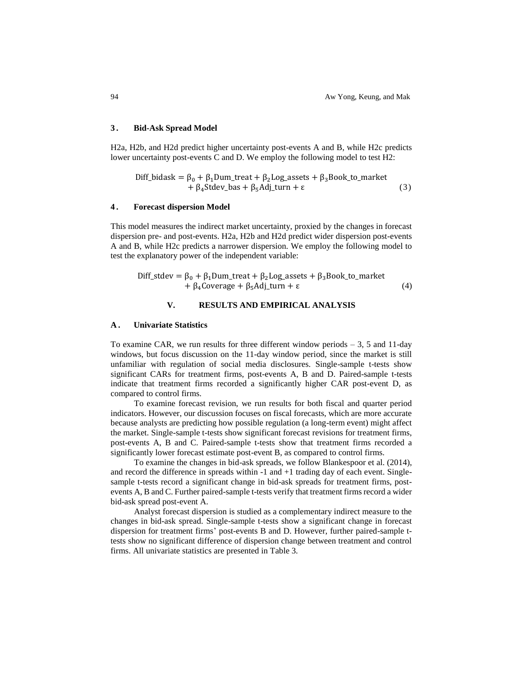## **3 . Bid-Ask Spread Model**

H2a, H2b, and H2d predict higher uncertainty post-events A and B, while H2c predicts lower uncertainty post-events C and D. We employ the following model to test H2:

$$
\text{Diff\_bidask} = \beta_0 + \beta_1 \text{Dum\_treat} + \beta_2 \text{Log\_assets} + \beta_3 \text{Book\_to\_market} + \beta_4 \text{Stdev\_bas} + \beta_5 \text{Adj\_turn} + \epsilon \tag{3}
$$

# **4 . Forecast dispersion Model**

This model measures the indirect market uncertainty, proxied by the changes in forecast dispersion pre- and post-events. H2a, H2b and H2d predict wider dispersion post-events A and B, while H2c predicts a narrower dispersion. We employ the following model to test the explanatory power of the independent variable:

$$
\text{Diff\_stdev} = \beta_0 + \beta_1 \text{Dum\_treat} + \beta_2 \text{Log\_assets} + \beta_3 \text{Book\_to\_market} + \beta_4 \text{Coverage} + \beta_5 \text{Adj\_turn} + \epsilon
$$
 (4)

# **V. RESULTS AND EMPIRICAL ANALYSIS**

# **A . Univariate Statistics**

To examine CAR, we run results for three different window periods  $-3$ , 5 and 11-day windows, but focus discussion on the 11-day window period, since the market is still unfamiliar with regulation of social media disclosures. Single-sample t-tests show significant CARs for treatment firms, post-events A, B and D. Paired-sample t-tests indicate that treatment firms recorded a significantly higher CAR post-event D, as compared to control firms.

To examine forecast revision, we run results for both fiscal and quarter period indicators. However, our discussion focuses on fiscal forecasts, which are more accurate because analysts are predicting how possible regulation (a long-term event) might affect the market. Single-sample t-tests show significant forecast revisions for treatment firms, post-events A, B and C. Paired-sample t-tests show that treatment firms recorded a significantly lower forecast estimate post-event B, as compared to control firms.

To examine the changes in bid-ask spreads, we follow Blankespoor et al. (2014), and record the difference in spreads within  $-1$  and  $+1$  trading day of each event. Singlesample t-tests record a significant change in bid-ask spreads for treatment firms, postevents A, B and C. Further paired-sample t-tests verify that treatment firms record a wider bid-ask spread post-event A.

Analyst forecast dispersion is studied as a complementary indirect measure to the changes in bid-ask spread. Single-sample t-tests show a significant change in forecast dispersion for treatment firms' post-events B and D. However, further paired-sample ttests show no significant difference of dispersion change between treatment and control firms. All univariate statistics are presented in Table 3.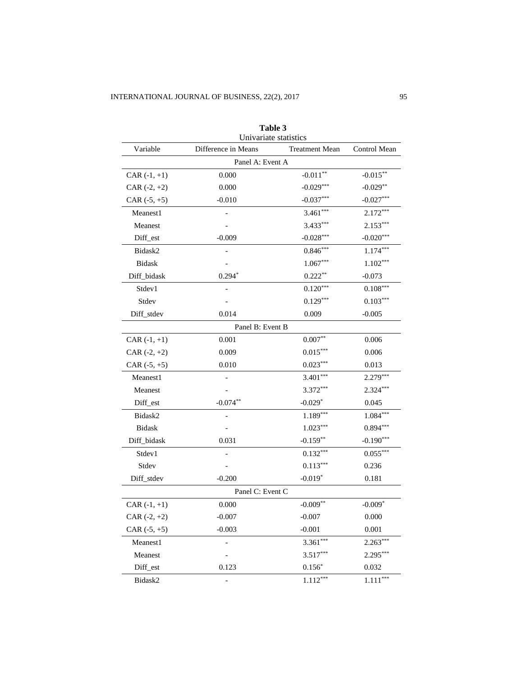|                | Table 3<br>Univariate statistics |                       |              |
|----------------|----------------------------------|-----------------------|--------------|
| Variable       | Difference in Means              | <b>Treatment Mean</b> | Control Mean |
|                | Panel A: Event A                 |                       |              |
| $CAR (-1, +1)$ | 0.000                            | $-0.011**$            | $-0.015***$  |
| CAR $(-2, +2)$ | 0.000                            | $-0.029***$           | $-0.029**$   |
| CAR $(-5, +5)$ | $-0.010$                         | $-0.037***$           | $-0.027***$  |
| Meanest1       |                                  | $3.461***$            | $2.172***$   |
| Meanest        |                                  | $3.433***$            | $2.153***$   |
| Diff_est       | $-0.009$                         | $-0.028***$           | $-0.020***$  |
| Bidask2        |                                  | $0.846***$            | $1.174***$   |
| <b>Bidask</b>  |                                  | $1.067***$            | $1.102***$   |
| Diff_bidask    | $0.294*$                         | $0.222**$             | $-0.073$     |
| Stdev1         |                                  | $0.120***$            | $0.108***$   |
| Stdev          |                                  | $0.129***$            | $0.103***$   |
| Diff_stdev     | 0.014                            | 0.009                 | $-0.005$     |
|                | Panel B: Event B                 |                       |              |
| $CAR (-1, +1)$ | 0.001                            | $0.007**$             | 0.006        |
| CAR $(-2, +2)$ | 0.009                            | $0.015***$            | 0.006        |
| CAR $(-5, +5)$ | 0.010                            | $0.023***$            | 0.013        |
| Meanest1       |                                  | $3.401***$            | $2.279***$   |
| Meanest        |                                  | $3.372***$            | $2.324***$   |
| Diff_est       | $-0.074**$                       | $-0.029*$             | 0.045        |
| Bidask2        |                                  | $1.189***$            | $1.084***$   |
| <b>Bidask</b>  |                                  | $1.023***$            | $0.894***$   |
| Diff_bidask    | 0.031                            | $-0.159**$            | $-0.190***$  |
| Stdev1         |                                  | $0.132***$            | $0.055***$   |
| Stdev          |                                  | $0.113***$            | 0.236        |
| Diff_stdev     | $-0.200$                         | $-0.019*$             | 0.181        |
|                | Panel C: Event C                 |                       |              |
| $CAR (-1, +1)$ | $0.000\,$                        | $-0.009**$            | $-0.009*$    |
| $CAR (-2, +2)$ | $-0.007$                         | $-0.007$              | 0.000        |
| CAR $(-5, +5)$ | $-0.003$                         | $-0.001$              | 0.001        |
| Meanest1       |                                  | $3.361***$            | $2.263***$   |
| Meanest        |                                  | $3.517***$            | $2.295***$   |
| Diff_est       | 0.123                            | $0.156*$              | 0.032        |
| Bidask2        | $\overline{a}$                   | $1.112***$            | $1.111***$   |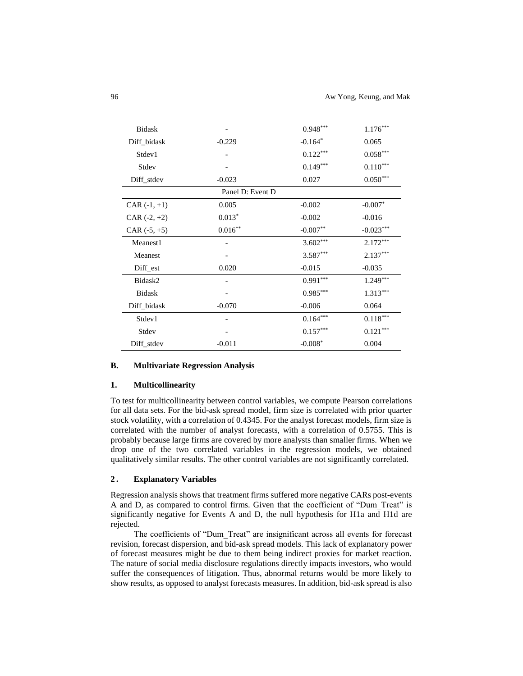| Bidask         |                  | $0.948***$ | $1.176***$             |
|----------------|------------------|------------|------------------------|
| Diff_bidask    | $-0.229$         | $-0.164*$  | 0.065                  |
| Stdev1         |                  | $0.122***$ | $0.058^{\ast\ast\ast}$ |
| Stdev          |                  | $0.149***$ | $0.110^{***}$          |
| Diff_stdev     | $-0.023$         | 0.027      | $0.050^{***}$          |
|                | Panel D: Event D |            |                        |
| $CAR (-1, +1)$ | 0.005            | $-0.002$   | $-0.007*$              |
| CAR $(-2, +2)$ | $0.013*$         | $-0.002$   | $-0.016$               |
| CAR $(-5, +5)$ | $0.016***$       | $-0.007**$ | $-0.023***$            |
| Meanest1       |                  | $3.602***$ | $2.172***$             |
| Meanest        |                  | $3.587***$ | $2.137***$             |
| Diff_est       | 0.020            | $-0.015$   | $-0.035$               |
| Bidask2        |                  | $0.991***$ | $1.249***$             |
| <b>Bidask</b>  |                  | $0.985***$ | $1.313***$             |
| Diff_bidask    | $-0.070$         | $-0.006$   | 0.064                  |
| Stdev1         |                  | $0.164***$ | $0.118***$             |
| Stdev          |                  | $0.157***$ | $0.121***$             |
| Diff_stdev     | $-0.011$         | $-0.008*$  | 0.004                  |

# **B. Multivariate Regression Analysis**

## **1. Multicollinearity**

To test for multicollinearity between control variables, we compute Pearson correlations for all data sets. For the bid-ask spread model, firm size is correlated with prior quarter stock volatility, with a correlation of 0.4345. For the analyst forecast models, firm size is correlated with the number of analyst forecasts, with a correlation of 0.5755. This is probably because large firms are covered by more analysts than smaller firms. When we drop one of the two correlated variables in the regression models, we obtained qualitatively similar results. The other control variables are not significantly correlated.

#### **2 . Explanatory Variables**

Regression analysis shows that treatment firms suffered more negative CARs post-events A and D, as compared to control firms. Given that the coefficient of "Dum\_Treat" is significantly negative for Events A and D, the null hypothesis for H1a and H1d are rejected.

The coefficients of "Dum\_Treat" are insignificant across all events for forecast revision, forecast dispersion, and bid-ask spread models. This lack of explanatory power of forecast measures might be due to them being indirect proxies for market reaction. The nature of social media disclosure regulations directly impacts investors, who would suffer the consequences of litigation. Thus, abnormal returns would be more likely to show results, as opposed to analyst forecasts measures. In addition, bid-ask spread is also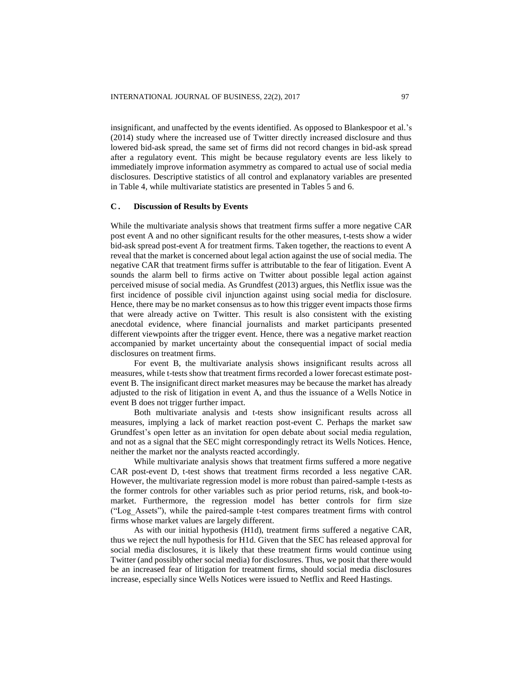insignificant, and unaffected by the events identified. As opposed to Blankespoor et al.'s (2014) study where the increased use of Twitter directly increased disclosure and thus lowered bid-ask spread, the same set of firms did not record changes in bid-ask spread after a regulatory event. This might be because regulatory events are less likely to immediately improve information asymmetry as compared to actual use of social media disclosures. Descriptive statistics of all control and explanatory variables are presented in Table 4, while multivariate statistics are presented in Tables 5 and 6.

# **C . Discussion of Results by Events**

While the multivariate analysis shows that treatment firms suffer a more negative CAR post event A and no other significant results for the other measures, t-tests show a wider bid-ask spread post-event A for treatment firms. Taken together, the reactions to event A reveal that the market is concerned about legal action against the use of social media. The negative CAR that treatment firms suffer is attributable to the fear of litigation. Event A sounds the alarm bell to firms active on Twitter about possible legal action against perceived misuse of social media. As Grundfest (2013) argues, this Netflix issue was the first incidence of possible civil injunction against using social media for disclosure. Hence, there may be no market consensus as to how this trigger event impacts those firms that were already active on Twitter. This result is also consistent with the existing anecdotal evidence, where financial journalists and market participants presented different viewpoints after the trigger event. Hence, there was a negative market reaction accompanied by market uncertainty about the consequential impact of social media disclosures on treatment firms.

For event B, the multivariate analysis shows insignificant results across all measures, while t-tests show that treatment firms recorded a lower forecast estimate postevent B. The insignificant direct market measures may be because the market has already adjusted to the risk of litigation in event A, and thus the issuance of a Wells Notice in event B does not trigger further impact.

Both multivariate analysis and t-tests show insignificant results across all measures, implying a lack of market reaction post-event C. Perhaps the market saw Grundfest's open letter as an invitation for open debate about social media regulation, and not as a signal that the SEC might correspondingly retract its Wells Notices. Hence, neither the market nor the analysts reacted accordingly.

While multivariate analysis shows that treatment firms suffered a more negative CAR post-event D, t-test shows that treatment firms recorded a less negative CAR. However, the multivariate regression model is more robust than paired-sample t-tests as the former controls for other variables such as prior period returns, risk, and book-tomarket. Furthermore, the regression model has better controls for firm size ("Log\_Assets"), while the paired-sample t-test compares treatment firms with control firms whose market values are largely different.

As with our initial hypothesis (H1d), treatment firms suffered a negative CAR, thus we reject the null hypothesis for H1d. Given that the SEC has released approval for social media disclosures, it is likely that these treatment firms would continue using Twitter (and possibly other social media) for disclosures. Thus, we posit that there would be an increased fear of litigation for treatment firms, should social media disclosures increase, especially since Wells Notices were issued to Netflix and Reed Hastings.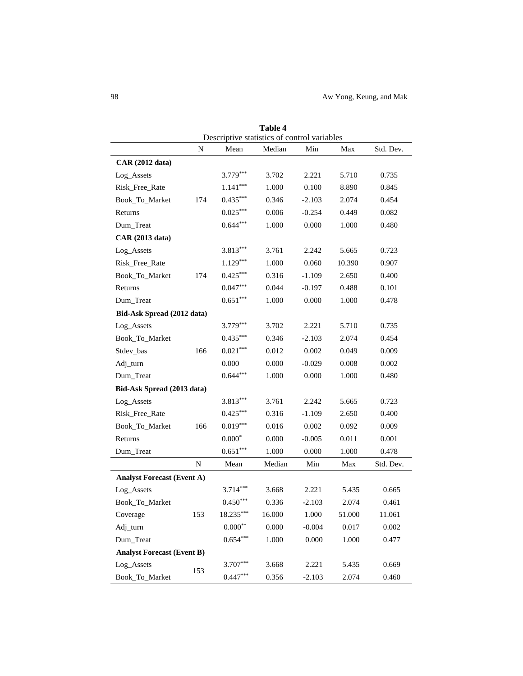|                                   |             |                                                     | 1 apie 4 |          |        |           |
|-----------------------------------|-------------|-----------------------------------------------------|----------|----------|--------|-----------|
|                                   | $\mathbf N$ | Descriptive statistics of control variables<br>Mean | Median   | Min      | Max    | Std. Dev. |
| <b>CAR</b> (2012 data)            |             |                                                     |          |          |        |           |
| Log_Assets                        |             | $3.779***$                                          | 3.702    | 2.221    | 5.710  | 0.735     |
| Risk_Free_Rate                    |             | $1.141***$                                          | 1.000    | 0.100    | 8.890  | 0.845     |
| Book_To_Market                    | 174         | $0.435***$                                          | 0.346    | $-2.103$ | 2.074  | 0.454     |
| Returns                           |             | $0.025***$                                          | 0.006    | $-0.254$ | 0.449  | 0.082     |
| Dum_Treat                         |             | $0.644***$                                          | 1.000    | 0.000    | 1.000  | 0.480     |
| <b>CAR</b> (2013 data)            |             |                                                     |          |          |        |           |
| Log_Assets                        |             | $3.813***$                                          | 3.761    | 2.242    | 5.665  | 0.723     |
| Risk_Free_Rate                    |             | $1.129***$                                          | 1.000    | 0.060    | 10.390 | 0.907     |
| Book_To_Market                    | 174         | $0.425***$                                          | 0.316    | $-1.109$ | 2.650  | 0.400     |
| Returns                           |             | $0.047***$                                          | 0.044    | $-0.197$ | 0.488  | 0.101     |
| Dum_Treat                         |             | $0.651***$                                          | 1.000    | 0.000    | 1.000  | 0.478     |
| Bid-Ask Spread (2012 data)        |             |                                                     |          |          |        |           |
| Log_Assets                        |             | 3.779***                                            | 3.702    | 2.221    | 5.710  | 0.735     |
| Book_To_Market                    |             | $0.435***$                                          | 0.346    | $-2.103$ | 2.074  | 0.454     |
| Stdev_bas                         | 166         | $0.021***$                                          | 0.012    | 0.002    | 0.049  | 0.009     |
| Adj_turn                          |             | 0.000                                               | 0.000    | $-0.029$ | 0.008  | 0.002     |
| Dum_Treat                         |             | $0.644***$                                          | 1.000    | 0.000    | 1.000  | 0.480     |
| Bid-Ask Spread (2013 data)        |             |                                                     |          |          |        |           |
| Log_Assets                        |             | $3.813***$                                          | 3.761    | 2.242    | 5.665  | 0.723     |
| Risk_Free_Rate                    |             | $0.425***$                                          | 0.316    | $-1.109$ | 2.650  | 0.400     |
| Book_To_Market                    | 166         | $0.019***$                                          | 0.016    | 0.002    | 0.092  | 0.009     |
| Returns                           |             | $0.000*$                                            | 0.000    | $-0.005$ | 0.011  | 0.001     |
| Dum_Treat                         |             | $0.651***$                                          | 1.000    | 0.000    | 1.000  | 0.478     |
|                                   | N           | Mean                                                | Median   | Min      | Max    | Std. Dev. |
| <b>Analyst Forecast (Event A)</b> |             |                                                     |          |          |        |           |
| Log_Assets                        |             | $3.714***$                                          | 3.668    | 2.221    | 5.435  | 0.665     |
| Book_To_Market                    |             | $0.450***$                                          | 0.336    | $-2.103$ | 2.074  | 0.461     |
| Coverage                          | 153         | 18.235***                                           | 16.000   | 1.000    | 51.000 | 11.061    |
| Adj_turn                          |             | $0.000^{\ast\ast}$                                  | 0.000    | $-0.004$ | 0.017  | 0.002     |
| Dum_Treat                         |             | $0.654***$                                          | 1.000    | 0.000    | 1.000  | 0.477     |
| <b>Analyst Forecast (Event B)</b> |             |                                                     |          |          |        |           |
| Log_Assets                        | 153         | $3.707***$                                          | 3.668    | 2.221    | 5.435  | 0.669     |
| Book_To_Market                    |             | $0.447***$                                          | 0.356    | $-2.103$ | 2.074  | 0.460     |

**Table 4**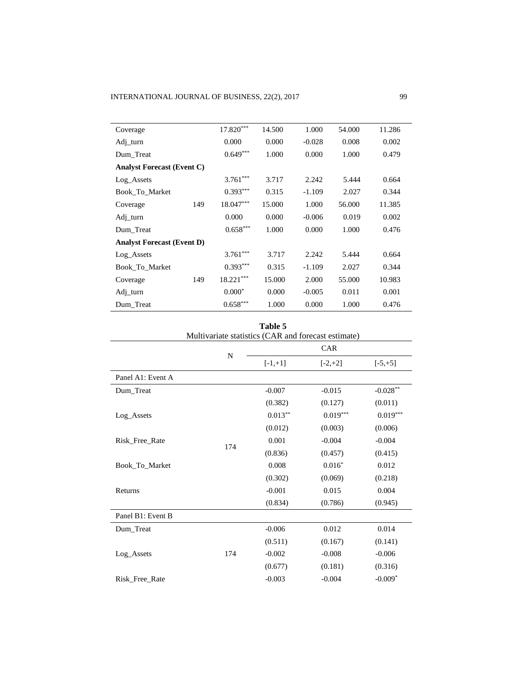| Coverage                          |     | $17.820***$ | 14.500 | 1.000    | 54.000 | 11.286 |
|-----------------------------------|-----|-------------|--------|----------|--------|--------|
| Adj_turn                          |     | 0.000       | 0.000  | $-0.028$ | 0.008  | 0.002  |
| Dum Treat                         |     | $0.649***$  | 1.000  | 0.000    | 1.000  | 0.479  |
| <b>Analyst Forecast (Event C)</b> |     |             |        |          |        |        |
| Log Assets                        |     | $3.761***$  | 3.717  | 2.242    | 5.444  | 0.664  |
| Book To Market                    |     | $0.393***$  | 0.315  | $-1.109$ | 2.027  | 0.344  |
| Coverage                          | 149 | 18.047***   | 15.000 | 1.000    | 56.000 | 11.385 |
| Adj_turn                          |     | 0.000       | 0.000  | $-0.006$ | 0.019  | 0.002  |
| Dum Treat                         |     | $0.658***$  | 1.000  | 0.000    | 1.000  | 0.476  |
| <b>Analyst Forecast (Event D)</b> |     |             |        |          |        |        |
| Log Assets                        |     | $3.761***$  | 3.717  | 2.242    | 5.444  | 0.664  |
| Book To Market                    |     | $0.393***$  | 0.315  | $-1.109$ | 2.027  | 0.344  |
| Coverage                          | 149 | $18.221***$ | 15.000 | 2.000    | 55.000 | 10.983 |
| $Adi_{\perp}$ turn                |     | $0.000*$    | 0.000  | $-0.005$ | 0.011  | 0.001  |
| Dum_Treat                         |     | $0.658***$  | 1.000  | 0.000    | 1.000  | 0.476  |

**Table 5**

|                   |     | Multivariate statistics (CAR and forecast estimate) |            |            |  |
|-------------------|-----|-----------------------------------------------------|------------|------------|--|
|                   | N   | CAR                                                 |            |            |  |
|                   |     | $[-1,+1]$                                           | $[-2,+2]$  | $[-5, +5]$ |  |
| Panel A1: Event A |     |                                                     |            |            |  |
| Dum_Treat         |     | $-0.007$                                            | $-0.015$   | $-0.028**$ |  |
|                   |     | (0.382)                                             | (0.127)    | (0.011)    |  |
| Log_Assets        |     | $0.013***$                                          | $0.019***$ | $0.019***$ |  |
|                   |     | (0.012)                                             | (0.003)    | (0.006)    |  |
| Risk Free Rate    | 174 | 0.001                                               | $-0.004$   | $-0.004$   |  |
|                   |     | (0.836)                                             | (0.457)    | (0.415)    |  |
| Book_To_Market    |     | 0.008                                               | $0.016*$   | 0.012      |  |
|                   |     | (0.302)                                             | (0.069)    | (0.218)    |  |
| Returns           |     | $-0.001$                                            | 0.015      | 0.004      |  |
|                   |     | (0.834)                                             | (0.786)    | (0.945)    |  |
| Panel B1: Event B |     |                                                     |            |            |  |
| Dum_Treat         |     | $-0.006$                                            | 0.012      | 0.014      |  |
|                   |     | (0.511)                                             | (0.167)    | (0.141)    |  |
| Log_Assets        | 174 | $-0.002$                                            | $-0.008$   | $-0.006$   |  |
|                   |     | (0.677)                                             | (0.181)    | (0.316)    |  |
| Risk Free Rate    |     | $-0.003$                                            | $-0.004$   | $-0.009*$  |  |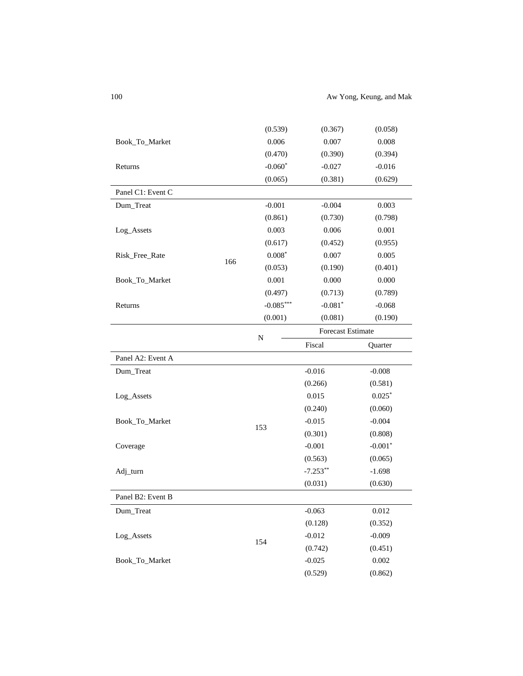100 Aw Yong, Keung, and Mak

|                   |     | (0.539)      | (0.367)                  | (0.058)   |
|-------------------|-----|--------------|--------------------------|-----------|
| Book_To_Market    |     | 0.006        | 0.007                    | 0.008     |
|                   |     | (0.470)      | (0.390)                  | (0.394)   |
| Returns           |     | $-0.060*$    | $-0.027$                 | $-0.016$  |
|                   |     | (0.065)      | (0.381)                  | (0.629)   |
| Panel C1: Event C |     |              |                          |           |
| Dum_Treat         |     | $-0.001$     | $-0.004$                 | 0.003     |
|                   |     | (0.861)      | (0.730)                  | (0.798)   |
| Log_Assets        |     | 0.003        | 0.006                    | 0.001     |
|                   |     | (0.617)      | (0.452)                  | (0.955)   |
| Risk_Free_Rate    |     | $0.008^\ast$ | 0.007                    | 0.005     |
|                   | 166 | (0.053)      | (0.190)                  | (0.401)   |
| Book_To_Market    |     | 0.001        | 0.000                    | 0.000     |
|                   |     | (0.497)      | (0.713)                  | (0.789)   |
| Returns           |     | $-0.085***$  | $-0.081*$                | $-0.068$  |
|                   |     | (0.001)      | (0.081)                  | (0.190)   |
|                   |     |              | <b>Forecast Estimate</b> |           |
|                   |     | N            | Fiscal                   | Quarter   |
| Panel A2: Event A |     |              |                          |           |
| Dum_Treat         |     |              | $-0.016$                 | $-0.008$  |
|                   |     |              | (0.266)                  | (0.581)   |
| Log_Assets        |     |              | 0.015                    | $0.025*$  |
|                   |     |              | (0.240)                  | (0.060)   |
| Book_To_Market    |     |              | $-0.015$                 | $-0.004$  |
|                   |     | 153          | (0.301)                  | (0.808)   |
| Coverage          |     |              | $-0.001$                 | $-0.001*$ |
|                   |     |              | (0.563)                  | (0.065)   |
| Adj_turn          |     |              | $-7.253**$               | $-1.698$  |
|                   |     |              | (0.031)                  | (0.630)   |
| Panel B2: Event B |     |              |                          |           |
| Dum_Treat         |     |              | $-0.063$                 | 0.012     |
|                   |     |              | (0.128)                  | (0.352)   |
| Log_Assets        |     |              | $-0.012$                 | $-0.009$  |
|                   |     | 154          | (0.742)                  | (0.451)   |
|                   |     |              |                          |           |
| Book_To_Market    |     |              | $-0.025$                 | 0.002     |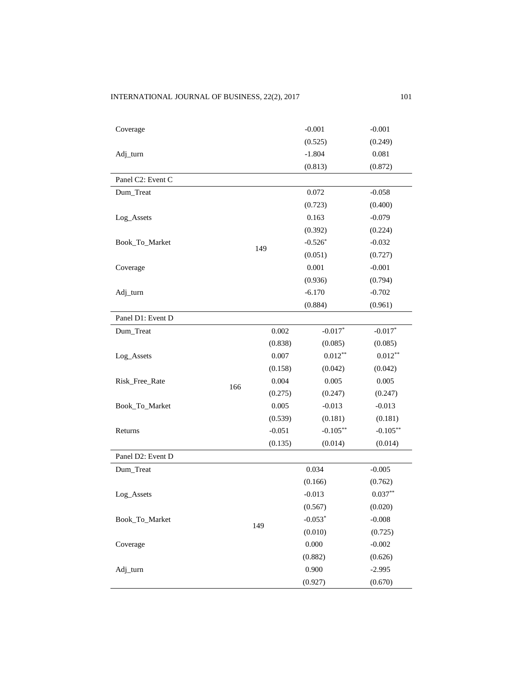# INTERNATIONAL JOURNAL OF BUSINESS, 22(2), 2017 101

| Coverage          |     |          | $-0.001$    | $-0.001$    |
|-------------------|-----|----------|-------------|-------------|
|                   |     |          | (0.525)     | (0.249)     |
| Adj_turn          |     |          | $-1.804$    | 0.081       |
|                   |     |          | (0.813)     | (0.872)     |
| Panel C2: Event C |     |          |             |             |
| Dum_Treat         |     |          | 0.072       | $-0.058$    |
|                   |     |          | (0.723)     | (0.400)     |
| Log_Assets        |     |          | 0.163       | $-0.079$    |
|                   |     |          | (0.392)     | (0.224)     |
| Book_To_Market    |     |          | $-0.526*$   | $-0.032$    |
|                   |     | 149      | (0.051)     | (0.727)     |
| Coverage          |     |          | 0.001       | $-0.001$    |
|                   |     |          | (0.936)     | (0.794)     |
| Adj_turn          |     |          | $-6.170$    | $-0.702$    |
|                   |     |          | (0.884)     | (0.961)     |
| Panel D1: Event D |     |          |             |             |
| Dum_Treat         |     | 0.002    | $-0.017*$   | $-0.017*$   |
|                   |     | (0.838)  | (0.085)     | (0.085)     |
| Log_Assets        |     | 0.007    | $0.012***$  | $0.012**$   |
|                   |     | (0.158)  | (0.042)     | (0.042)     |
| Risk_Free_Rate    | 166 | 0.004    | 0.005       | 0.005       |
|                   |     | (0.275)  | (0.247)     | (0.247)     |
| Book_To_Market    |     | 0.005    | $-0.013$    | $-0.013$    |
|                   |     | (0.539)  | (0.181)     | (0.181)     |
| Returns           |     | $-0.051$ | $-0.105***$ | $-0.105***$ |
|                   |     | (0.135)  | (0.014)     | (0.014)     |
| Panel D2: Event D |     |          |             |             |
| Dum_Treat         |     |          | 0.034       | $-0.005$    |
|                   |     |          | (0.166)     | (0.762)     |
| Log_Assets        |     |          | $-0.013$    | $0.037**$   |
|                   |     |          | (0.567)     | (0.020)     |
| Book_To_Market    |     | 149      | $-0.053*$   | $-0.008$    |
|                   |     |          | (0.010)     | (0.725)     |
| Coverage          |     |          | 0.000       | $-0.002$    |
|                   |     |          | (0.882)     | (0.626)     |
| Adj_turn          |     |          | 0.900       | $-2.995$    |
|                   |     |          | (0.927)     | (0.670)     |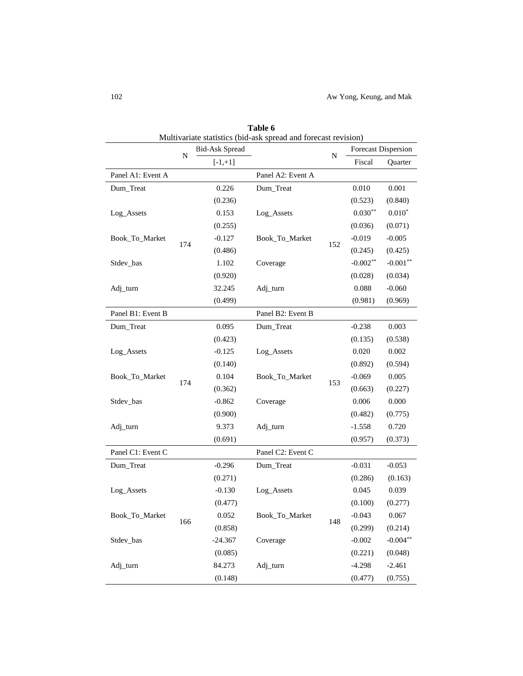|                   |     |                       | Multivariate statistics (bid-ask spread and forecast revision) |           |            |                            |       |
|-------------------|-----|-----------------------|----------------------------------------------------------------|-----------|------------|----------------------------|-------|
|                   | N   | <b>Bid-Ask Spread</b> |                                                                | ${\bf N}$ |            | <b>Forecast Dispersion</b> |       |
|                   |     | $[-1,+1]$             |                                                                |           | Fiscal     | Quarter                    |       |
| Panel A1: Event A |     |                       | Panel A2: Event A                                              |           |            |                            |       |
| Dum_Treat         |     | 0.226                 | Dum_Treat                                                      |           | 0.010      | 0.001                      |       |
|                   |     | (0.236)               |                                                                |           | (0.523)    | (0.840)                    |       |
| Log_Assets        |     | 0.153                 | Log_Assets                                                     |           | $0.030**$  | $0.010*$                   |       |
|                   |     | (0.255)               |                                                                |           | (0.036)    | (0.071)                    |       |
| Book_To_Market    | 174 | $-0.127$              | Book_To_Market                                                 |           | $-0.019$   | $-0.005$                   |       |
|                   |     | (0.486)               |                                                                | 152       | (0.245)    | (0.425)                    |       |
| Stdev_bas         |     | 1.102                 | Coverage                                                       |           | $-0.002**$ | $-0.001**$                 |       |
|                   |     | (0.920)               |                                                                |           | (0.028)    | (0.034)                    |       |
| Adj_turn          |     | 32.245                | Adj_turn                                                       |           | 0.088      | $-0.060$                   |       |
|                   |     | (0.499)               |                                                                |           | (0.981)    | (0.969)                    |       |
| Panel B1: Event B |     |                       | Panel B2: Event B                                              |           |            |                            |       |
| Dum_Treat         |     | 0.095                 | Dum_Treat                                                      |           | $-0.238$   | 0.003                      |       |
|                   |     | (0.423)               |                                                                |           | (0.135)    | (0.538)                    |       |
| Log_Assets        |     | $-0.125$              | Log_Assets                                                     |           | 0.020      | 0.002                      |       |
|                   |     | (0.140)               |                                                                |           | (0.892)    | (0.594)                    |       |
| Book_To_Market    |     | 0.104                 | Book_To_Market                                                 |           | $-0.069$   | 0.005                      |       |
|                   | 174 | (0.362)               |                                                                | 153       | (0.663)    | (0.227)                    |       |
| Stdev_bas         |     |                       | $-0.862$<br>Coverage                                           |           | 0.006      | 0.000                      |       |
|                   |     | (0.900)               |                                                                |           | (0.482)    | (0.775)                    |       |
| Adj_turn          |     |                       | 9.373                                                          | Adj_turn  |            | $-1.558$                   | 0.720 |
|                   |     | (0.691)               |                                                                |           | (0.957)    | (0.373)                    |       |
| Panel C1: Event C |     |                       | Panel C2: Event C                                              |           |            |                            |       |
| Dum_Treat         |     | $-0.296$              | Dum_Treat                                                      |           | $-0.031$   | $-0.053$                   |       |
|                   |     | (0.271)               |                                                                |           | (0.286)    | (0.163)                    |       |
| Log_Assets        |     | $-0.130$              | Log_Assets                                                     |           | 0.045      | 0.039                      |       |
|                   |     | (0.477)               |                                                                |           | (0.100)    | (0.277)                    |       |
| Book_To_Market    |     | 0.052                 | Book_To_Market                                                 |           | $-0.043$   | 0.067                      |       |
|                   | 166 | (0.858)               |                                                                | 148       | (0.299)    | (0.214)                    |       |
| Stdev_bas         |     | $-24.367$             | Coverage                                                       |           | $-0.002$   | $-0.004**$                 |       |
|                   |     | (0.085)               |                                                                |           | (0.221)    | (0.048)                    |       |
| Adj_turn          |     | 84.273                | Adj_turn                                                       |           | $-4.298$   | $-2.461$                   |       |
|                   |     | (0.148)               |                                                                |           | (0.477)    | (0.755)                    |       |

**Table 6**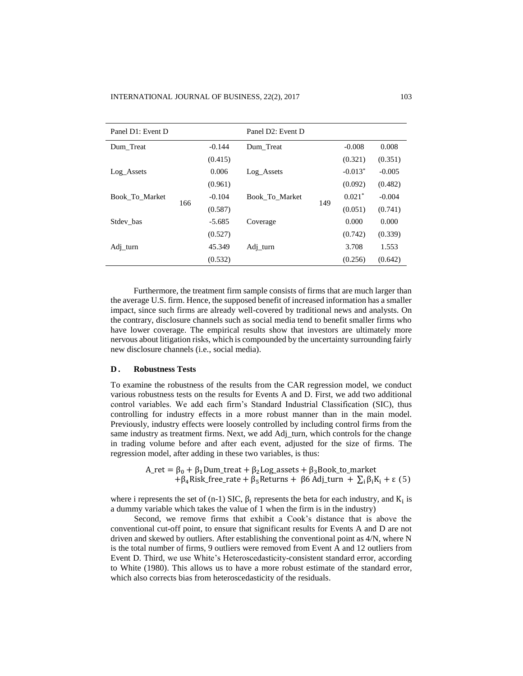| Panel D1: Event D |     |          | Panel D2: Event D |     |           |          |
|-------------------|-----|----------|-------------------|-----|-----------|----------|
| Dum Treat         |     | $-0.144$ | Dum Treat         |     | $-0.008$  | 0.008    |
|                   |     | (0.415)  |                   |     | (0.321)   | (0.351)  |
| Log Assets        |     | 0.006    | Log Assets        |     | $-0.013*$ | $-0.005$ |
|                   |     | (0.961)  |                   |     | (0.092)   | (0.482)  |
| Book To Market    | 166 | $-0.104$ | Book To Market    | 149 | $0.021*$  | $-0.004$ |
|                   |     | (0.587)  |                   |     | (0.051)   | (0.741)  |
| Stdev bas         |     | $-5.685$ | Coverage          |     | 0.000     | 0.000    |
|                   |     | (0.527)  |                   |     | (0.742)   | (0.339)  |
| Adj_turn          |     | 45.349   | $Adi_{1}$ turn    |     | 3.708     | 1.553    |
|                   |     | (0.532)  |                   |     | (0.256)   | (0.642)  |

Furthermore, the treatment firm sample consists of firms that are much larger than the average U.S. firm. Hence, the supposed benefit of increased information has a smaller impact, since such firms are already well-covered by traditional news and analysts. On the contrary, disclosure channels such as social media tend to benefit smaller firms who have lower coverage. The empirical results show that investors are ultimately more nervous about litigation risks, which is compounded by the uncertainty surrounding fairly new disclosure channels (i.e., social media).

#### **D . Robustness Tests**

To examine the robustness of the results from the CAR regression model, we conduct various robustness tests on the results for Events A and D. First, we add two additional control variables. We add each firm's Standard Industrial Classification (SIC), thus controlling for industry effects in a more robust manner than in the main model. Previously, industry effects were loosely controlled by including control firms from the same industry as treatment firms. Next, we add Adj\_turn, which controls for the change in trading volume before and after each event, adjusted for the size of firms. The regression model, after adding in these two variables, is thus:

> $A_{\text{ret}} = \beta_0 + \beta_1$ Dum\_treat +  $\beta_2$ Log\_assets +  $\beta_3$ Book\_to\_market +β<sub>4</sub>Risk\_free\_rate + β<sub>5</sub>Returns + β6 Adj\_turn +  $\Sigma_i$  β<sub>i</sub>K<sub>i</sub> + ε (5)

where i represents the set of (n-1) SIC,  $\beta_i$  represents the beta for each industry, and  $K_i$  is a dummy variable which takes the value of 1 when the firm is in the industry)

Second, we remove firms that exhibit a Cook's distance that is above the conventional cut-off point, to ensure that significant results for Events A and D are not driven and skewed by outliers. After establishing the conventional point as 4/N, where N is the total number of firms, 9 outliers were removed from Event A and 12 outliers from Event D. Third, we use White's Heteroscedasticity-consistent standard error, according to White (1980). This allows us to have a more robust estimate of the standard error, which also corrects bias from heteroscedasticity of the residuals.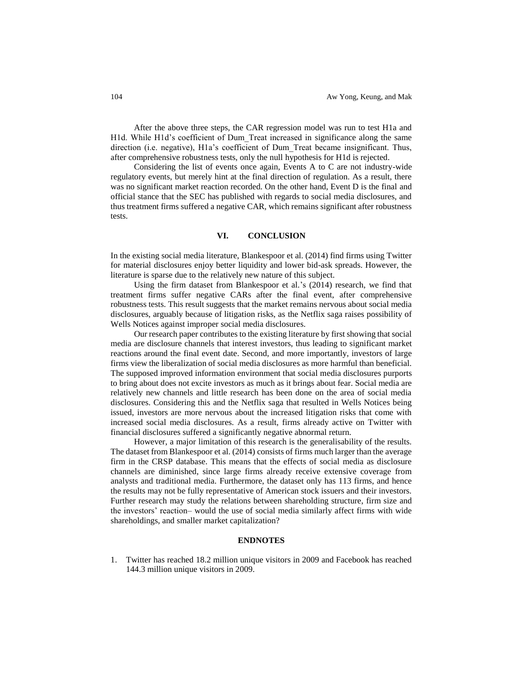After the above three steps, the CAR regression model was run to test H1a and H1d. While H1d's coefficient of Dum\_Treat increased in significance along the same direction (i.e. negative), H1a's coefficient of Dum\_Treat became insignificant. Thus, after comprehensive robustness tests, only the null hypothesis for H1d is rejected.

Considering the list of events once again, Events A to C are not industry-wide regulatory events, but merely hint at the final direction of regulation. As a result, there was no significant market reaction recorded. On the other hand, Event D is the final and official stance that the SEC has published with regards to social media disclosures, and thus treatment firms suffered a negative CAR, which remains significant after robustness tests.

# **VI. CONCLUSION**

In the existing social media literature, Blankespoor et al. (2014) find firms using Twitter for material disclosures enjoy better liquidity and lower bid-ask spreads. However, the literature is sparse due to the relatively new nature of this subject.

Using the firm dataset from Blankespoor et al.'s (2014) research, we find that treatment firms suffer negative CARs after the final event, after comprehensive robustness tests. This result suggests that the market remains nervous about social media disclosures, arguably because of litigation risks, as the Netflix saga raises possibility of Wells Notices against improper social media disclosures.

Our research paper contributes to the existing literature by first showing that social media are disclosure channels that interest investors, thus leading to significant market reactions around the final event date. Second, and more importantly, investors of large firms view the liberalization of social media disclosures as more harmful than beneficial. The supposed improved information environment that social media disclosures purports to bring about does not excite investors as much as it brings about fear. Social media are relatively new channels and little research has been done on the area of social media disclosures. Considering this and the Netflix saga that resulted in Wells Notices being issued, investors are more nervous about the increased litigation risks that come with increased social media disclosures. As a result, firms already active on Twitter with financial disclosures suffered a significantly negative abnormal return.

However, a major limitation of this research is the generalisability of the results. The dataset from Blankespoor et al. (2014) consists of firms much larger than the average firm in the CRSP database. This means that the effects of social media as disclosure channels are diminished, since large firms already receive extensive coverage from analysts and traditional media. Furthermore, the dataset only has 113 firms, and hence the results may not be fully representative of American stock issuers and their investors. Further research may study the relations between shareholding structure, firm size and the investors' reaction– would the use of social media similarly affect firms with wide shareholdings, and smaller market capitalization?

# **ENDNOTES**

1. Twitter has reached 18.2 million unique visitors in 2009 and Facebook has reached 144.3 million unique visitors in 2009.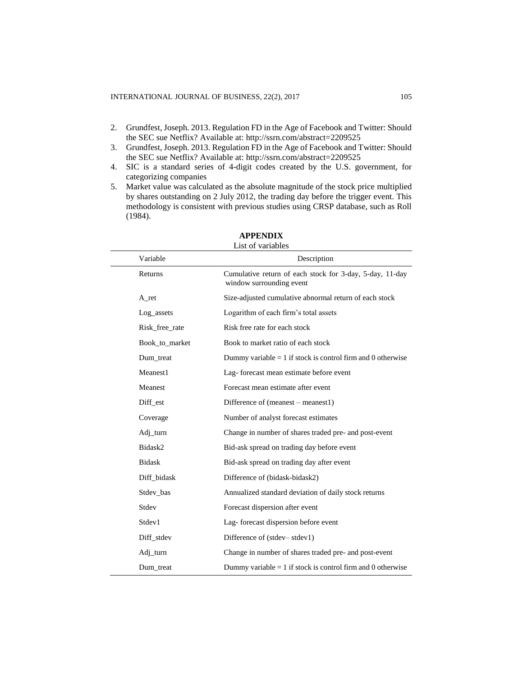- 2. Grundfest, Joseph. 2013. Regulation FD in the Age of Facebook and Twitter: Should the SEC sue Netflix? Available at: http://ssrn.com/abstract=2209525
- 3. Grundfest, Joseph. 2013. Regulation FD in the Age of Facebook and Twitter: Should the SEC sue Netflix? Available at:<http://ssrn.com/abstract=2209525>
- 4. SIC is a standard series of 4-digit codes created by the U.S. government, for categorizing companies
- 5. Market value was calculated as the absolute magnitude of the stock price multiplied by shares outstanding on 2 July 2012, the trading day before the trigger event. This methodology is consistent with previous studies using CRSP database, such as Roll (1984).

| Variable           | Description                                                                          |
|--------------------|--------------------------------------------------------------------------------------|
| Returns            | Cumulative return of each stock for 3-day, 5-day, 11-day<br>window surrounding event |
| A_ret              | Size-adjusted cumulative abnormal return of each stock                               |
| Log assets         | Logarithm of each firm's total assets                                                |
| Risk_free_rate     | Risk free rate for each stock                                                        |
| Book_to_market     | Book to market ratio of each stock                                                   |
| Dum treat          | Dummy variable $= 1$ if stock is control firm and 0 otherwise                        |
| Meanest1           | Lag-forecast mean estimate before event                                              |
| Meanest            | Forecast mean estimate after event                                                   |
| Diff_est           | Difference of (meanest – meanest1)                                                   |
| Coverage           | Number of analyst forecast estimates                                                 |
| Adj_turn           | Change in number of shares traded pre- and post-event                                |
| Bidask2            | Bid-ask spread on trading day before event                                           |
| <b>Bidask</b>      | Bid-ask spread on trading day after event                                            |
| Diff_bidask        | Difference of (bidask-bidask2)                                                       |
| Stdev bas          | Annualized standard deviation of daily stock returns                                 |
| Stdev              | Forecast dispersion after event                                                      |
| Stdev <sub>1</sub> | Lag-forecast dispersion before event                                                 |
| Diff stdev         | Difference of (stdev–stdev1)                                                         |
| Adj_turn           | Change in number of shares traded pre- and post-event                                |
| Dum treat          | Dummy variable $= 1$ if stock is control firm and 0 otherwise                        |

# **APPENDIX** List of variables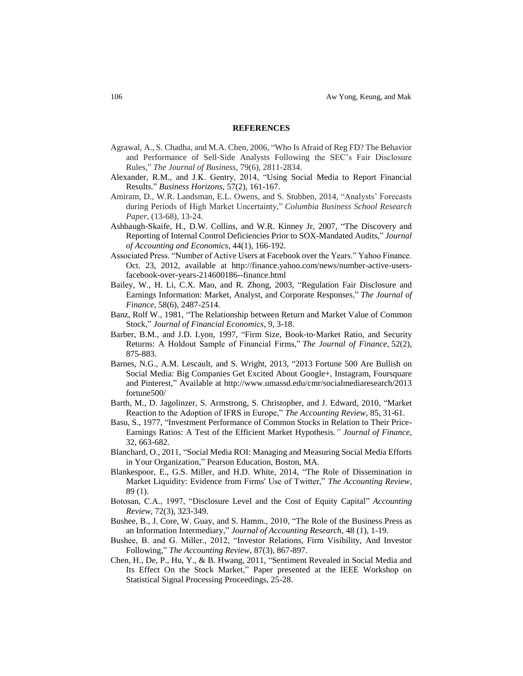#### **REFERENCES**

- Agrawal, A., S. Chadha, and M.A. Chen, 2006, "Who Is Afraid of Reg FD? The Behavior and Performance of Sell‐Side Analysts Following the SEC's Fair Disclosure Rules*,*" *The Journal of Business*, 79(6), 2811-2834.
- Alexander, R.M., and J.K. Gentry, 2014, "Using Social Media to Report Financial Results." *Business Horizons*, 57(2), 161-167.
- Amiram, D., W.R. Landsman, E.L. Owens, and S. Stubben, 2014, "Analysts' Forecasts during Periods of High Market Uncertainty," *Columbia Business School Research Paper*, (13-68), 13-24.
- Ashbaugh-Skaife, H., D.W. Collins, and W.R. Kinney Jr, 2007, "The Discovery and Reporting of Internal Control Deficiencies Prior to SOX-Mandated Audits," *Journal of Accounting and Economics*, 44(1), 166-192.
- Associated Press. "Number of Active Users at Facebook over the Years." Yahoo Finance. Oct. 23, 2012, available at http://finance.yahoo.com/news/number-active-usersfacebook-over-years-214600186--finance.html
- Bailey, W., H. Li, C.X. Mao, and R. Zhong, 2003, "Regulation Fair Disclosure and Earnings Information: Market, Analyst, and Corporate Responses," *The Journal of Finance*, 58(6), 2487-2514.
- Banz, Rolf W., 1981, "The Relationship between Return and Market Value of Common Stock," *Journal of Financial Economics*, 9, 3-18.
- Barber, B.M., and J.D. Lyon, 1997, "Firm Size, Book‐to‐Market Ratio, and Security Returns: A Holdout Sample of Financial Firms," *The Journal of Finance*, 52(2), 875-883.
- Barnes, N.G., A.M. Lescault, and S. Wright, 2013, "2013 Fortune 500 Are Bullish on Social Media: Big Companies Get Excited About Google+, Instagram, Foursquare and Pinterest," Available at http://www.umassd.edu/cmr/socialmediaresearch/2013 fortune500/
- Barth, M., D. Jagolinzer, S. Armstrong, S. Christopher, and J. Edward, 2010, "Market Reaction to the Adoption of IFRS in Europe," *The Accounting Review*, 85, 31-61.
- Basu, S., 1977, "Investment Performance of Common Stocks in Relation to Their Price-Earnings Ratios: A Test of the Efficient Market Hypothesis*," Journal of Finance*, 32, 663-682.
- Blanchard, O., 2011, "Social Media ROI: Managing and Measuring Social Media Efforts in Your Organization," Pearson Education, Boston, MA.
- Blankespoor, E., G.S. Miller, and H.D. White, 2014, "The Role of Dissemination in Market Liquidity: Evidence from Firms' Use of Twitter," *The Accounting Review*, 89 (1).
- Botosan, C.A., 1997, "Disclosure Level and the Cost of Equity Capital" *Accounting Review*, 72(3), 323-349.
- Bushee, B., J. Core, W. Guay, and S. Hamm., 2010, "The Role of the Business Press as an Information Intermediary," *Journal of Accounting Research*, 48 (1), 1-19.
- Bushee, B. and G. Miller., 2012, "Investor Relations, Firm Visibility, And Investor Following," *The Accounting Review*, 87(3), 867-897.
- Chen, H., De, P., Hu, Y., & B. Hwang, 2011, "Sentiment Revealed in Social Media and Its Effect On the Stock Market," Paper presented at the IEEE Workshop on Statistical Signal Processing Proceedings, 25-28.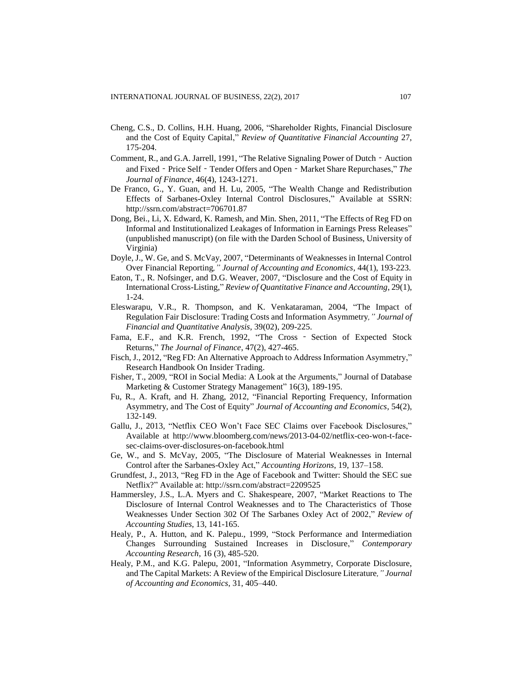- Cheng, C.S., D. Collins, H.H. Huang, 2006, "Shareholder Rights, Financial Disclosure and the Cost of Equity Capital," *Review of Quantitative Financial Accounting* 27, 175-204.
- Comment, R., and G.A. Jarrell, 1991, "The Relative Signaling Power of Dutch Auction and Fixed - Price Self - Tender Offers and Open - Market Share Repurchases," The *Journal of Finance*, 46(4), 1243-1271.
- De Franco, G., Y. Guan, and H. Lu, 2005, "The Wealth Change and Redistribution Effects of Sarbanes-Oxley Internal Control Disclosures," Available at SSRN: http://ssrn.com/abstract=706701.87
- Dong, Bei., Li, X. Edward, K. Ramesh, and Min. Shen, 2011, "The Effects of Reg FD on Informal and Institutionalized Leakages of Information in Earnings Press Releases" (unpublished manuscript) (on file with the Darden School of Business, University of Virginia)
- Doyle, J., W. Ge, and S. McVay, 2007, "Determinants of Weaknesses in Internal Control Over Financial Reporting*," Journal of Accounting and Economics*, 44(1), 193-223.
- Eaton, T., R. Nofsinger, and D.G. Weaver, 2007, "Disclosure and the Cost of Equity in International Cross-Listing," *Review of Quantitative Finance and Accounting*, 29(1), 1-24.
- Eleswarapu, V.R., R. Thompson, and K. Venkataraman, 2004, "The Impact of Regulation Fair Disclosure: Trading Costs and Information Asymmetry*," Journal of Financial and Quantitative Analysis*, 39(02), 209-225.
- Fama, E.F., and K.R. French, 1992, "The Cross ‐ Section of Expected Stock Returns," *The Journal of Finance*, 47(2), 427-465.
- Fisch, J., 2012, "Reg FD: An Alternative Approach to Address Information Asymmetry," Research Handbook On Insider Trading.
- Fisher, T., 2009, "ROI in Social Media: A Look at the Arguments," Journal of Database Marketing & Customer Strategy Management" 16(3), 189-195.
- Fu, R., A. Kraft, and H. Zhang, 2012, "Financial Reporting Frequency, Information Asymmetry, and The Cost of Equity" *Journal of Accounting and Economics*, 54(2), 132-149.
- Gallu, J., 2013, "Netflix CEO Won't Face SEC Claims over Facebook Disclosures," Available at http://www.bloomberg.com/news/2013-04-02/netflix-ceo-won-t-facesec-claims-over-disclosures-on-facebook.html
- Ge, W., and S. McVay, 2005, "The Disclosure of Material Weaknesses in Internal Control after the Sarbanes-Oxley Act," *Accounting Horizons*, 19, 137–158.
- Grundfest, J., 2013, "Reg FD in the Age of Facebook and Twitter: Should the SEC sue Netflix?" Available at: http://ssrn.com/abstract=2209525
- Hammersley, J.S., L.A. Myers and C. Shakespeare, 2007, "Market Reactions to The Disclosure of Internal Control Weaknesses and to The Characteristics of Those Weaknesses Under Section 302 Of The Sarbanes Oxley Act of 2002," *Review of Accounting Studies*, 13, 141-165.
- Healy, P., A. Hutton, and K. Palepu., 1999, "Stock Performance and Intermediation Changes Surrounding Sustained Increases in Disclosure," *Contemporary Accounting Research*, 16 (3), 485-520.
- Healy, P.M., and K.G. Palepu, 2001, "Information Asymmetry, Corporate Disclosure, and The Capital Markets: A Review of the Empirical Disclosure Literature*," Journal of Accounting and Economics*, 31, 405–440.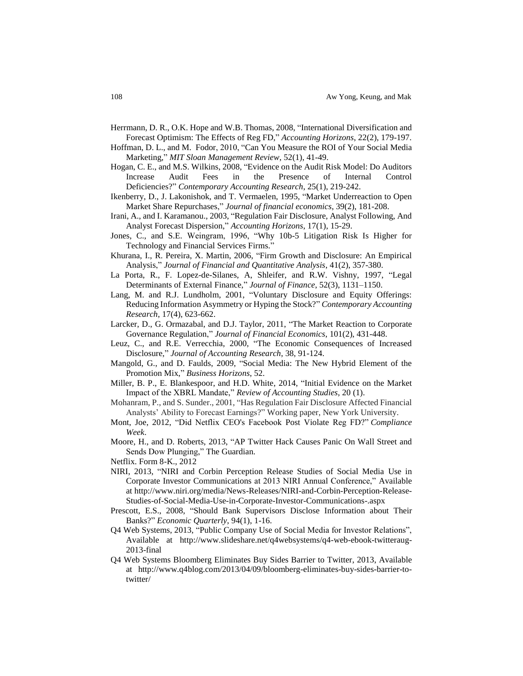- Herrmann, D. R., O.K. Hope and W.B. Thomas, 2008, "International Diversification and Forecast Optimism: The Effects of Reg FD," *Accounting Horizons*, 22(2), 179-197.
- Hoffman, D. L., and M. Fodor, 2010, "Can You Measure the ROI of Your Social Media Marketing," *MIT Sloan Management Review*, 52(1), 41-49.
- Hogan, C. E., and M.S. Wilkins, 2008, "Evidence on the Audit Risk Model: Do Auditors Increase Audit Fees in the Presence of Internal Control Deficiencies?" *Contemporary Accounting Research*, 25(1), 219-242.
- Ikenberry, D., J. Lakonishok, and T. Vermaelen, 1995, "Market Underreaction to Open Market Share Repurchases," *Journal of financial economics*, 39(2), 181-208.
- Irani, A., and I. Karamanou., 2003, "Regulation Fair Disclosure, Analyst Following, And Analyst Forecast Dispersion," *Accounting Horizons*, 17(1), 15-29.
- Jones, C., and S.E. Weingram, 1996, "Why 10b-5 Litigation Risk Is Higher for Technology and Financial Services Firms."
- Khurana, I., R. Pereira, X. Martin, 2006, "Firm Growth and Disclosure: An Empirical Analysis," *Journal of Financial and Quantitative Analysis*, 41(2), 357-380.
- La Porta, R., F. Lopez-de-Silanes, A, Shleifer, and R.W. Vishny, 1997, "Legal Determinants of External Finance," *Journal of Finance*, 52(3), 1131–1150.
- Lang, M. and R.J. Lundholm, 2001, "Voluntary Disclosure and Equity Offerings: Reducing Information Asymmetry or Hyping the Stock?" *Contemporary Accounting Research*, 17(4), 623-662.
- Larcker, D., G. Ormazabal, and D.J. Taylor, 2011, "The Market Reaction to Corporate Governance Regulation," *Journal of Financial Economics*, 101(2), 431-448.
- Leuz, C., and R.E. Verrecchia, 2000, "The Economic Consequences of Increased Disclosure," *Journal of Accounting Research*, 38, 91-124.
- Mangold, G., and D. Faulds, 2009, "Social Media: The New Hybrid Element of the Promotion Mix," *Business Horizons*, 52.
- Miller, B. P., E. Blankespoor, and H.D. White, 2014, "Initial Evidence on the Market Impact of the XBRL Mandate," *Review of Accounting Studies*, 20 (1).
- Mohanram, P., and S. Sunder., 2001, "Has Regulation Fair Disclosure Affected Financial Analysts' Ability to Forecast Earnings?" Working paper, New York University.
- Mont, Joe, 2012, "Did Netflix CEO's Facebook Post Violate Reg FD?" *Compliance Week*.
- Moore, H., and D. Roberts, 2013, "AP Twitter Hack Causes Panic On Wall Street and Sends Dow Plunging," The Guardian.
- Netflix. Form 8-K., 2012
- NIRI, 2013, "NIRI and Corbin Perception Release Studies of Social Media Use in Corporate Investor Communications at 2013 NIRI Annual Conference," Available at http://www.niri.org/media/News-Releases/NIRI-and-Corbin-Perception-Release-Studies-of-Social-Media-Use-in-Corporate-Investor-Communications-.aspx
- Prescott, E.S., 2008, "Should Bank Supervisors Disclose Information about Their Banks?" *Economic Quarterly*, 94(1), 1-16.
- Q4 Web Systems, 2013, "Public Company Use of Social Media for Investor Relations", Available at http://www.slideshare.net/q4websystems/q4-web-ebook-twitteraug-2013-final
- Q4 Web Systems Bloomberg Eliminates Buy Sides Barrier to Twitter, 2013, Available at http://www.q4blog.com/2013/04/09/bloomberg-eliminates-buy-sides-barrier-totwitter/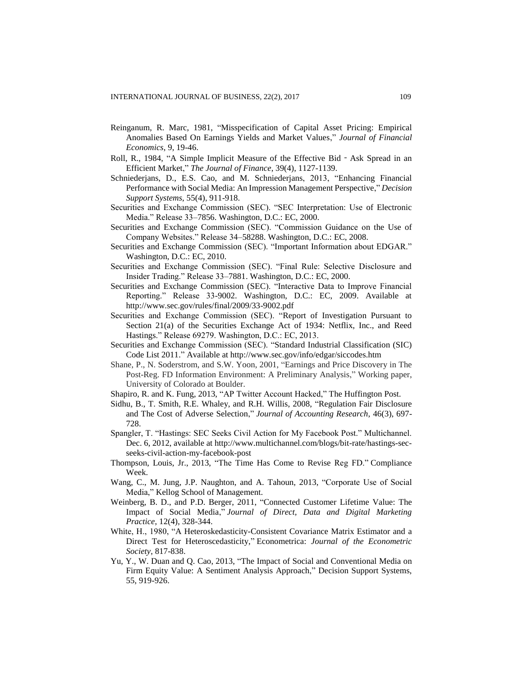- Reinganum, R. Marc, 1981, "Misspecification of Capital Asset Pricing: Empirical Anomalies Based On Earnings Yields and Market Values," *Journal of Financial Economics*, 9, 19-46.
- Roll, R., 1984, "A Simple Implicit Measure of the Effective Bid‐Ask Spread in an Efficient Market," *The Journal of Finance*, 39(4), 1127-1139.
- Schniederjans, D., E.S. Cao, and M. Schniederjans, 2013, "Enhancing Financial Performance with Social Media: An Impression Management Perspective," *Decision Support Systems*, 55(4), 911-918.
- Securities and Exchange Commission (SEC). "SEC Interpretation: Use of Electronic Media." Release 33–7856. Washington, D.C.: EC, 2000.
- Securities and Exchange Commission (SEC). "Commission Guidance on the Use of Company Websites." Release 34–58288. Washington, D.C.: EC, 2008.
- Securities and Exchange Commission (SEC). "Important Information about EDGAR." Washington, D.C.: EC, 2010.
- Securities and Exchange Commission (SEC). "Final Rule: Selective Disclosure and Insider Trading." Release 33–7881. Washington, D.C.: EC, 2000.
- Securities and Exchange Commission (SEC). "Interactive Data to Improve Financial Reporting." Release 33-9002. Washington, D.C.: EC, 2009. Available at http://www.sec.gov/rules/final/2009/33-9002.pdf
- Securities and Exchange Commission (SEC). "Report of Investigation Pursuant to Section 21(a) of the Securities Exchange Act of 1934: Netflix, Inc., and Reed Hastings." Release 69279. Washington, D.C.: EC, 2013.
- Securities and Exchange Commission (SEC). "Standard Industrial Classification (SIC) Code List 2011." Available at http://www.sec.gov/info/edgar/siccodes.htm
- Shane, P., N. Soderstrom, and S.W. Yoon, 2001, "Earnings and Price Discovery in The Post-Reg. FD Information Environment: A Preliminary Analysis," Working paper, University of Colorado at Boulder.
- Shapiro, R. and K. Fung, 2013, "AP Twitter Account Hacked," The Huffington Post.
- Sidhu, B., T. Smith, R.E. Whaley, and R.H. Willis, 2008, "Regulation Fair Disclosure and The Cost of Adverse Selection," *Journal of Accounting Research*, 46(3), 697- 728.
- Spangler, T. "Hastings: SEC Seeks Civil Action for My Facebook Post." Multichannel. Dec. 6, 2012, available at http://www.multichannel.com/blogs/bit-rate/hastings-secseeks-civil-action-my-facebook-post
- Thompson, Louis, Jr., 2013, "The Time Has Come to Revise Reg FD." Compliance Week.
- Wang, C., M. Jung, J.P. Naughton, and A. Tahoun, 2013, "Corporate Use of Social Media," Kellog School of Management.
- Weinberg, B. D., and P.D. Berger, 2011, "Connected Customer Lifetime Value: The Impact of Social Media," *Journal of Direct, Data and Digital Marketing Practice*, 12(4), 328-344.
- White, H., 1980, "A Heteroskedasticity-Consistent Covariance Matrix Estimator and a Direct Test for Heteroscedasticity," Econometrica: *Journal of the Econometric Society*, 817-838.
- Yu, Y., W. Duan and Q. Cao, 2013, "The Impact of Social and Conventional Media on Firm Equity Value: A Sentiment Analysis Approach," Decision Support Systems, 55, 919-926.